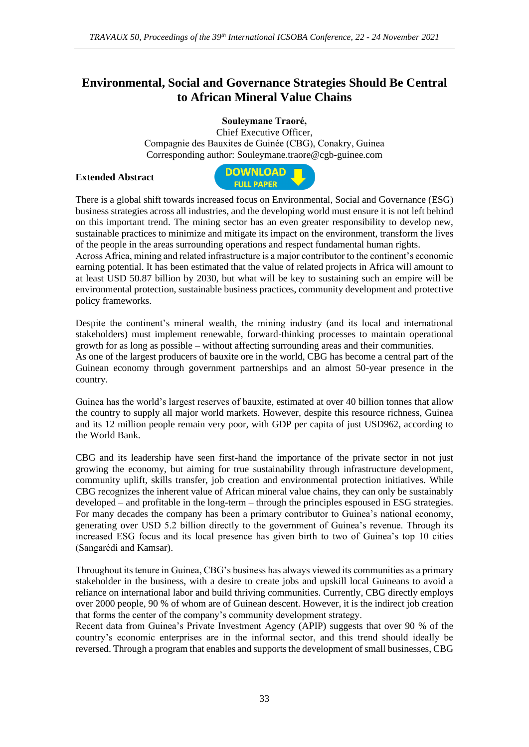## **Environmental, Social and Governance Strategies Should Be Central to African Mineral Value Chains**

**Souleymane Traoré,** 

Chief Executive Officer, Compagnie des Bauxites de Guinée (CBG), Conakry, Guinea Corresponding author: Souleymane.traore@cgb-guinee.com

**Extended Abstract**



There is a global shift towards increased focus on Environmental, Social and Governance (ESG) business strategies across all industries, and the developing world must ensure it is not left behind on this important trend. The mining sector has an even greater responsibility to develop new, sustainable practices to minimize and mitigate its impact on the environment, transform the lives of the people in the areas surrounding operations and respect fundamental human rights. Across Africa, mining and related infrastructure is a major contributor to the continent's economic

earning potential. It has been estimated that the value of related projects in Africa will amount to at least USD 50.87 billion by 2030, but what will be key to sustaining such an empire will be environmental protection, sustainable business practices, community development and protective policy frameworks.

Despite the continent's mineral wealth, the mining industry (and its local and international stakeholders) must implement renewable, forward-thinking processes to maintain operational growth for as long as possible – without affecting surrounding areas and their communities. As one of the largest producers of bauxite ore in the world, CBG has become a central part of the Guinean economy through government partnerships and an almost 50-year presence in the country.

Guinea has the world's largest reserves of bauxite, estimated at over 40 billion tonnes that allow the country to supply all major world markets. However, despite this resource richness, Guinea and its 12 million people remain very poor, with GDP per capita of just USD962, according to the World Bank.

CBG and its leadership have seen first-hand the importance of the private sector in not just growing the economy, but aiming for true sustainability through infrastructure development, community uplift, skills transfer, job creation and environmental protection initiatives. While CBG recognizes the inherent value of African mineral value chains, they can only be sustainably developed – and profitable in the long-term – through the principles espoused in ESG strategies. For many decades the company has been a primary contributor to Guinea's national economy, generating over USD 5.2 billion directly to the government of Guinea's revenue. Through its increased ESG focus and its local presence has given birth to two of Guinea's top 10 cities (Sangarédi and Kamsar).

Throughout its tenure in Guinea, CBG's business has always viewed its communities as a primary stakeholder in the business, with a desire to create jobs and upskill local Guineans to avoid a reliance on international labor and build thriving communities. Currently, CBG directly employs over 2000 people, 90 % of whom are of Guinean descent. However, it is the indirect job creation that forms the center of the company's community development strategy.

Recent data from Guinea's Private Investment Agency (APIP) suggests that over 90 % of the country's economic enterprises are in the informal sector, and this trend should ideally be reversed. Through a program that enables and supports the development of small businesses, CBG